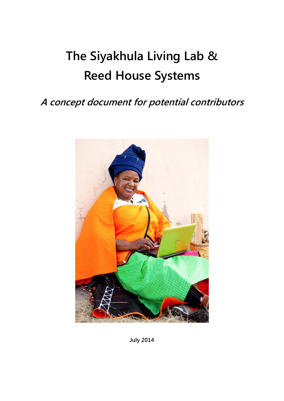# **The Siyakhula Living Lab & Reed House Systems**

## **A concept document for potential contributors**



**July 2014**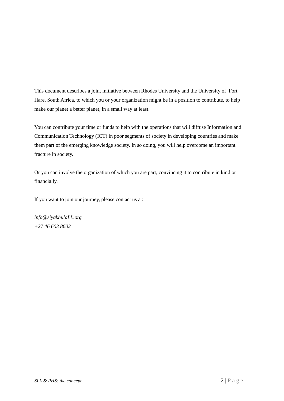This document describes a joint initiative between Rhodes University and the University of Fort Hare, South Africa, to which you or your organization might be in a position to contribute, to help make our planet a better planet, in a small way at least.

You can contribute your time or funds to help with the operations that will diffuse Information and Communication Technology (ICT) in poor segments of society in developing countries and make them part of the emerging knowledge society. In so doing, you will help overcome an important fracture in society.

Or you can involve the organization of which you are part, convincing it to contribute in kind or financially.

If you want to join our journey, please contact us at:

*info@siyakhulaLL.org +27 46 603 8602*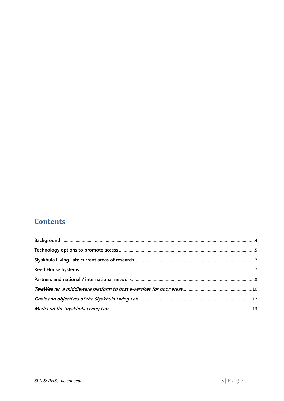## **Contents**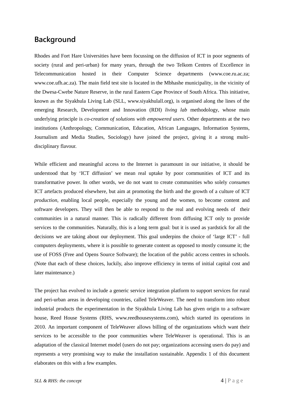### <span id="page-3-0"></span>**Background**

Rhodes and Fort Hare Universities have been focussing on the diffusion of ICT in poor segments of society (rural and peri-urban) for many years, through the two Telkom Centres of Excellence in Telecommunication hosted in their Computer Science departments (www.coe.ru.ac.za; www.coe.ufh.ac.za). The main field test site is located in the Mbhashe municipality, in the vicinity of the Dwesa-Cwebe Nature Reserve, in the rural Eastern Cape Province of South Africa. This initiative, known as the Siyakhula Living Lab (SLL, [www.siyakhulall.org\)](http://www.siyakhulall.org/), is organised along the lines of the emerging Research, Development and Innovation (RDI) *living lab* methodology, whose main underlying principle is *co-creation of solutions with empowered users.* Other departments at the two institutions (Anthropology, Communication, Education, African Languages, Information Systems, Journalism and Media Studies, Sociology) have joined the project, giving it a strong multidisciplinary flavour.

While efficient and meaningful access to the Internet is paramount in our initiative, it should be understood that by 'ICT diffusion' we mean real uptake by poor communities of ICT and its transformative power. In other words, we do not want to create communities who solely *consumes* ICT artefacts produced elsewhere, but aim at promoting the birth and the growth of a culture of ICT *production*, enabling local people, especially the young and the women, to become content and software developers. They will then be able to respond to the real and evolving needs of their communities in a natural manner. This is radically different from diffusing ICT only to provide services to the communities. Naturally, this is a long term goal: but it is used as yardstick for all the decisions we are taking about our deployment. This goal underpins the choice of 'large ICT' - full computers deployments, where it is possible to generate content as opposed to mostly consume it; the use of FOSS (Free and Opens Source Software); the location of the public access centres in schools. (Note that each of these choices, luckily, also improve efficiency in terms of initial capital cost and later maintenance.)

The project has evolved to include a generic service integration platform to support services for rural and peri-urban areas in developing countries, called TeleWeaver. The need to transform into robust industrial products the experimentation in the Siyakhula Living Lab has given origin to a software house, Reed House Systems (RHS, www.reedhousesystems.com), which started its operations in 2010. An important component of TeleWeaver allows billing of the organizations which want their services to be accessible to the poor communities where TeleWeaver is operational. This is an adaptation of the classical Internet model (users do not pay; organizations accessing users do pay) and represents a very promising way to make the installation sustainable. Appendix 1 of this document elaborates on this with a few examples.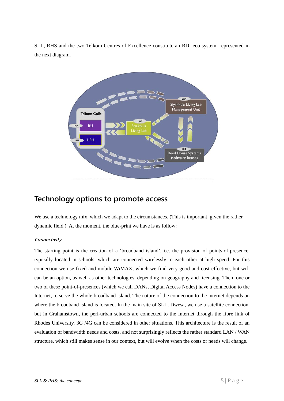SLL, RHS and the two Telkom Centres of Excellence constitute an RDI eco-system, represented in the next diagram.



### <span id="page-4-0"></span>**Technology options to promote access**

We use a technology mix, which we adapt to the circumstances. (This is important, given the rather dynamic field.) At the moment, the blue-print we have is as follow:

#### **Connectivity**

The starting point is the creation of a 'broadband island', i.e. the provision of points-of-presence, typically located in schools, which are connected wirelessly to each other at high speed. For this connection we use fixed and mobile WiMAX, which we find very good and cost effective, but wifi can be an option, as well as other technologies, depending on geography and licensing. Then, one or two of these point-of-presences (which we call DANs, Digital Access Nodes) have a connection to the Internet, to serve the whole broadband island. The nature of the connection to the internet depends on where the broadband island is located. In the main site of SLL, Dwesa, we use a satellite connection, but in Grahamstown, the peri-urban schools are connected to the Internet through the fibre link of Rhodes University. 3G /4G can be considered in other situations. This architecture is the result of an evaluation of bandwidth needs and costs, and not surprisingly reflects the rather standard LAN / WAN structure, which still makes sense in our context, but will evolve when the costs or needs will change.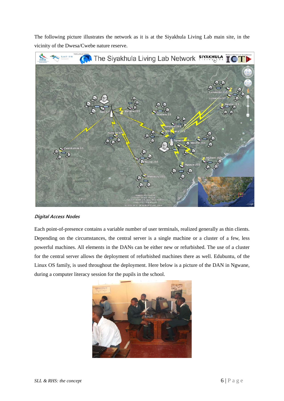The following picture illustrates the network as it is at the Siyakhula Living Lab main site, in the vicinity of the Dwesa/Cwebe nature reserve.



#### **Digital Access Nodes**

Each point-of-presence contains a variable number of user terminals, realized generally as thin clients. Depending on the circumstances, the central server is a single machine or a cluster of a few, less powerful machines. All elements in the DANs can be either new or refurbished. The use of a cluster for the central server allows the deployment of refurbished machines there as well. Edubuntu, of the Linux OS family, is used throughout the deployment. Here below is a picture of the DAN in Ngwane, during a computer literacy session for the pupils in the school.

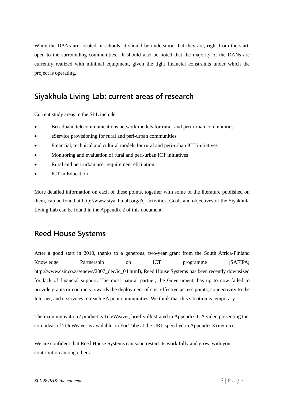While the DANs are located in schools, it should be understood that they are, right from the start, open to the surrounding communities. It should also be noted that the majority of the DANs are currently realized with minimal equipment, given the tight financial constraints under which the project is operating.

### <span id="page-6-0"></span>**Siyakhula Living Lab: current areas of research**

Current study areas in the SLL include:

- Broadband telecommunications network models for rural and peri-urban communities
- eService provisioning for rural and peri-urban communities
- Financial, technical and cultural models for rural and peri-urban ICT initiatives
- Monitoring and evaluation of rural and peri-urban ICT initiatives
- Rural and peri-urban user requirement elicitation
- **ICT** in Education

More detailed information on each of these points, together with some of the literature published on them, can be found at http://www.siyakhulall.org/?q=activities. Goals and objectives of the Siyakhula Living Lab can be found in the Appendix 2 of this document.

## <span id="page-6-1"></span>**Reed House Systems**

After a good start in 2010, thanks to a generous, two-year grant from the South Africa-Finland Knowledge Partnership on ICT programme (SAFIPA; http://www.csir.co.za/enews/2007\_dec/ic\_04.html), Reed House Systems has been recently downsized for lack of financial support. The most natural partner, the Government, has up to now failed to provide grants or contracts towards the deployment of cost effective access points, connectivity to the Internet, and e-services to reach SA poor communities. We think that this situation is temporary

The main innovation / product is TeleWeaver, briefly illustrated in Appendix 1. A video presenting the core ideas of TeleWeaver is available on YouTube at the URL specified in Appendix 3 (item 5).

We are confident that Reed House Systems can soon restart its work fully and grow, with your contribution among others.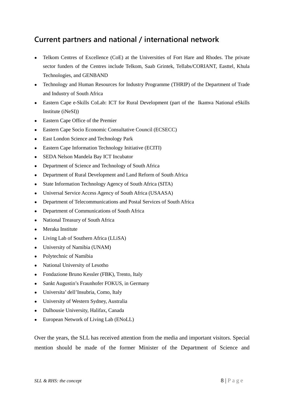## <span id="page-7-0"></span>**Current partners and national / international network**

- Telkom Centres of Excellence (CoE) at the Universities of Fort Hare and Rhodes. The private sector funders of the Centres include Telkom, Saab Grintek, Tellabs/CORIANT, Easttel, Khula Technologies, and GENBAND
- Technology and Human Resources for Industry Programme (THRIP) of the Department of Trade and Industry of South Africa
- Eastern Cape e-Skills CoLab: ICT for Rural Development (part of the Ikamva National eSkills Institute (iNeSI))
- Eastern Cape Office of the Premier
- Eastern Cape Socio Economic Consultative Council (ECSECC)
- East London Science and Technology Park
- Eastern Cape Information Technology Initiative (ECITI)
- SEDA Nelson Mandela Bay ICT Incubator
- Department of Science and Technology of South Africa
- Department of Rural Development and Land Reform of South Africa
- State Information Technology Agency of South Africa (SITA)
- Universal Service Access Agency of South Africa (USAASA)
- Department of Telecommunications and Postal Services of South Africa
- Department of Communications of South Africa
- National Treasury of South Africa
- Meraka Institute
- Living Lab of Southern Africa (LLiSA)
- University of Namibia (UNAM)
- Polytechnic of Namibia
- National University of Lesotho
- Fondazione Bruno Kessler (FBK), Trento, Italy
- Sankt Augustin's Fraunhofer FOKUS, in Germany
- Universita' dell'Insubria, Como, Italy
- University of Western Sydney, Australia
- Dalhousie University, Halifax, Canada
- European Network of Living Lab (ENoLL)

Over the years, the SLL has received attention from the media and important visitors. Special mention should be made of the former Minister of the Department of Science and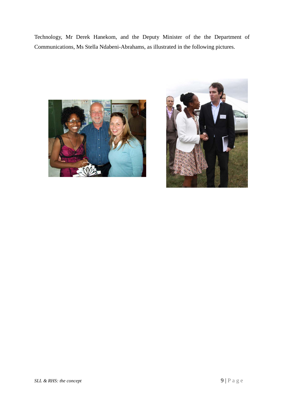Technology, Mr Derek Hanekom, and the Deputy Minister of the the Department of Communications, Ms Stella Ndabeni-Abrahams, as illustrated in the following pictures.



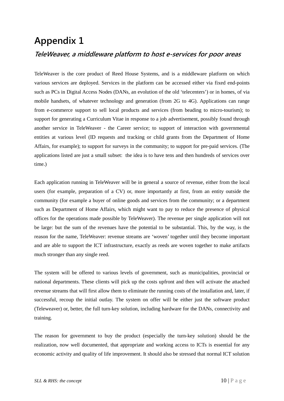## <span id="page-9-0"></span>**Appendix 1 TeleWeaver, a middleware platform to host e-services for poor areas**

TeleWeaver is the core product of Reed House Systems, and is a middleware platform on which various services are deployed. Services in the platform can be accessed either via fixed end-points such as PCs in Digital Access Nodes (DANs, an evolution of the old 'telecenters') or in homes, of via mobile handsets, of whatever technology and generation (from 2G to 4G). Applications can range from e-commerce support to sell local products and services (from beading to micro-tourism); to support for generating a Curriculum Vitae in response to a job advertisement, possibly found through another service in TeleWeaver - the Career service; to support of interaction with governmental entities at various level (ID requests and tracking or child grants from the Department of Home Affairs, for example); to support for surveys in the community; to support for pre-paid services. (The applications listed are just a small subset: the idea is to have tens and then hundreds of services over time.)

Each application running in TeleWeaver will be in general a source of revenue, either from the local users (for example, preparation of a CV) or, more importantly at first, from an entity outside the community (for example a buyer of online goods and services from the community; or a department such as Department of Home Affairs, which might want to pay to reduce the presence of physical offices for the operations made possible by TeleWeaver). The revenue per single application will not be large: but the sum of the revenues have the potential to be substantial. This, by the way, is the reason for the name, TeleWeaver: revenue streams are 'woven' together until they become important and are able to support the ICT infrastructure, exactly as reeds are woven together to make artifacts much stronger than any single reed.

The system will be offered to various levels of government, such as municipalities, provincial or national departments. These clients will pick up the costs upfront and then will activate the attached revenue streams that will first allow them to eliminate the running costs of the installation and, later, if successful, recoup the initial outlay. The system on offer will be either just the software product (Teleweaver) or, better, the full turn-key solution, including hardware for the DANs, connectivity and training.

The reason for government to buy the product (especially the turn-key solution) should be the realization, now well documented, that appropriate and working access to ICTs is essential for any economic activity and quality of life improvement. It should also be stressed that normal ICT solution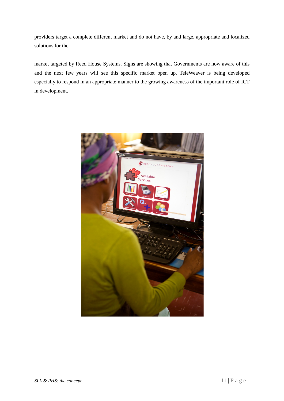providers target a complete different market and do not have, by and large, appropriate and localized solutions for the

market targeted by Reed House Systems. Signs are showing that Governments are now aware of this and the next few years will see this specific market open up. TeleWeaver is being developed especially to respond in an appropriate manner to the growing awareness of the important role of ICT in development.

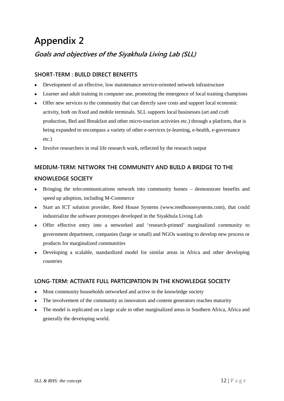## **Appendix 2**

## <span id="page-11-0"></span>**Goals and objectives of the Siyakhula Living Lab (SLL)**

### **SHORT-TERM : BUILD DIRECT BENEFITS**

- Development of an effective, low maintenance service-oriented network infrastructure
- Learner and adult training in computer use, promoting the emergence of local training champions
- Offer new services to the community that can directly save costs and support local economic activity, both on fixed and mobile terminals. SLL supports local businesses (art and craft production, Bed and Breakfast and other micro-tourism activities etc.) through a platform, that is being expanded to encompass a variety of other e-services (e-learning, e-health, e-governance etc.)
- Involve researchers in real life research work, reflected by the research output

## **MEDIUM-TERM: NETWORK THE COMMUNITY AND BUILD A BRIDGE TO THE KNOWLEDGE SOCIETY**

- Bringing the telecommunications network into community homes demonstrate benefits and speed up adoption, including M-Commerce
- Start an ICT solution provider, Reed House Systems (www.reedhousesystems.com), that could industrialize the software prototypes developed in the Siyakhula Living Lab
- Offer effective entry into a networked and 'research-primed' marginalized community to government department, companies (large or small) and NGOs wanting to develop new process or products for marginalized communities
- Developing a scalable, standardized model for similar areas in Africa and other developing countries

### **LONG-TERM: ACTIVATE FULL PARTICIPATION IN THE KNOWLEDGE SOCIETY**

- Most community households networked and active in the knowledge society
- The involvement of the community as innovators and content generators reaches maturity
- The model is replicated on a large scale in other marginalized areas in Southern Africa, Africa and generally the developing world.